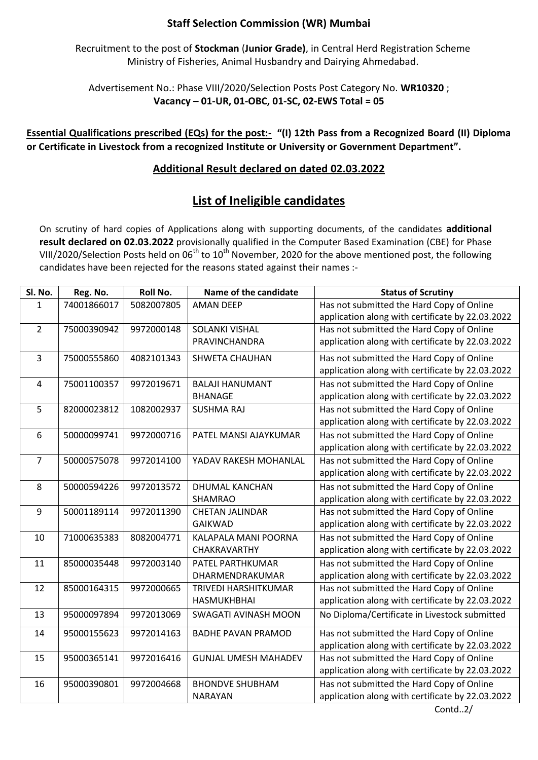## **Staff Selection Commission (WR) Mumbai**

Recruitment to the post of **Stockman** (**Junior Grade)**, in Central Herd Registration Scheme Ministry of Fisheries, Animal Husbandry and Dairying Ahmedabad.

Advertisement No.: Phase VIII/2020/Selection Posts Post Category No. **WR10320** ; **Vacancy – 01-UR, 01-OBC, 01-SC, 02-EWS Total = 05**

**Essential Qualifications prescribed (EQs) for the post:- "(I) 12th Pass from a Recognized Board (II) Diploma or Certificate in Livestock from a recognized Institute or University or Government Department".**

## **Additional Result declared on dated 02.03.2022**

## **List of Ineligible candidates**

On scrutiny of hard copies of Applications along with supporting documents, of the candidates **additional result declared on 02.03.2022** provisionally qualified in the Computer Based Examination (CBE) for Phase VIII/2020/Selection Posts held on 06<sup>th</sup> to 10<sup>th</sup> November, 2020 for the above mentioned post, the following candidates have been rejected for the reasons stated against their names :-

| Sl. No.        | Reg. No.    | Roll No.   | Name of the candidate       | <b>Status of Scrutiny</b>                        |
|----------------|-------------|------------|-----------------------------|--------------------------------------------------|
| 1              | 74001866017 | 5082007805 | <b>AMAN DEEP</b>            | Has not submitted the Hard Copy of Online        |
|                |             |            |                             | application along with certificate by 22.03.2022 |
| $\overline{2}$ | 75000390942 | 9972000148 | <b>SOLANKI VISHAL</b>       | Has not submitted the Hard Copy of Online        |
|                |             |            | PRAVINCHANDRA               | application along with certificate by 22.03.2022 |
| 3              | 75000555860 | 4082101343 | <b>SHWETA CHAUHAN</b>       | Has not submitted the Hard Copy of Online        |
|                |             |            |                             | application along with certificate by 22.03.2022 |
| 4              | 75001100357 | 9972019671 | <b>BALAJI HANUMANT</b>      | Has not submitted the Hard Copy of Online        |
|                |             |            | <b>BHANAGE</b>              | application along with certificate by 22.03.2022 |
| 5              | 82000023812 | 1082002937 | <b>SUSHMA RAJ</b>           | Has not submitted the Hard Copy of Online        |
|                |             |            |                             | application along with certificate by 22.03.2022 |
| 6              | 50000099741 | 9972000716 | PATEL MANSI AJAYKUMAR       | Has not submitted the Hard Copy of Online        |
|                |             |            |                             | application along with certificate by 22.03.2022 |
| 7              | 50000575078 | 9972014100 | YADAV RAKESH MOHANLAL       | Has not submitted the Hard Copy of Online        |
|                |             |            |                             | application along with certificate by 22.03.2022 |
| 8              | 50000594226 | 9972013572 | <b>DHUMAL KANCHAN</b>       | Has not submitted the Hard Copy of Online        |
|                |             |            | SHAMRAO                     | application along with certificate by 22.03.2022 |
| 9              | 50001189114 | 9972011390 | <b>CHETAN JALINDAR</b>      | Has not submitted the Hard Copy of Online        |
|                |             |            | <b>GAIKWAD</b>              | application along with certificate by 22.03.2022 |
| 10             | 71000635383 | 8082004771 | KALAPALA MANI POORNA        | Has not submitted the Hard Copy of Online        |
|                |             |            | <b>CHAKRAVARTHY</b>         | application along with certificate by 22.03.2022 |
| 11             | 85000035448 | 9972003140 | PATEL PARTHKUMAR            | Has not submitted the Hard Copy of Online        |
|                |             |            | DHARMENDRAKUMAR             | application along with certificate by 22.03.2022 |
| 12             | 85000164315 | 9972000665 | TRIVEDI HARSHITKUMAR        | Has not submitted the Hard Copy of Online        |
|                |             |            | <b>HASMUKHBHAI</b>          | application along with certificate by 22.03.2022 |
| 13             | 95000097894 | 9972013069 | SWAGATI AVINASH MOON        | No Diploma/Certificate in Livestock submitted    |
| 14             | 95000155623 | 9972014163 | <b>BADHE PAVAN PRAMOD</b>   | Has not submitted the Hard Copy of Online        |
|                |             |            |                             | application along with certificate by 22.03.2022 |
| 15             | 95000365141 | 9972016416 | <b>GUNJAL UMESH MAHADEV</b> | Has not submitted the Hard Copy of Online        |
|                |             |            |                             | application along with certificate by 22.03.2022 |
| 16             | 95000390801 | 9972004668 | <b>BHONDVE SHUBHAM</b>      | Has not submitted the Hard Copy of Online        |
|                |             |            | <b>NARAYAN</b>              | application along with certificate by 22.03.2022 |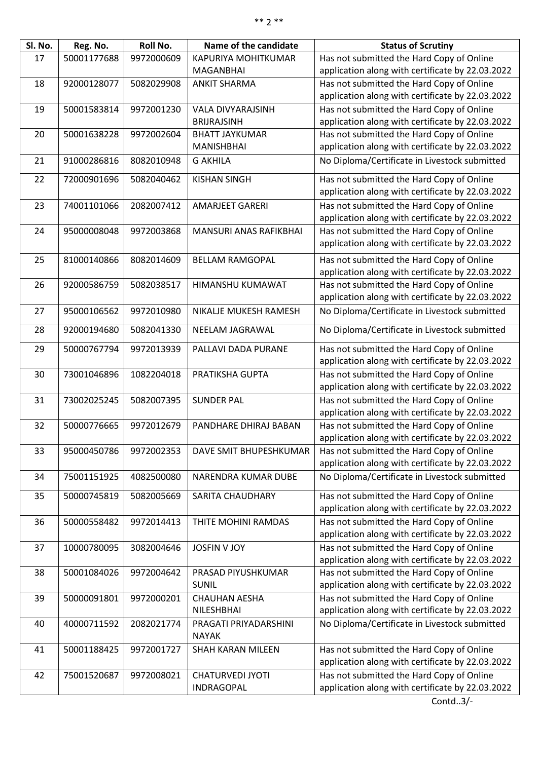| Sl. No. | Reg. No.    | Roll No.   | Name of the candidate                 | <b>Status of Scrutiny</b>                        |
|---------|-------------|------------|---------------------------------------|--------------------------------------------------|
| 17      | 50001177688 | 9972000609 | KAPURIYA MOHITKUMAR                   | Has not submitted the Hard Copy of Online        |
|         |             |            | MAGANBHAI                             | application along with certificate by 22.03.2022 |
| 18      | 92000128077 | 5082029908 | <b>ANKIT SHARMA</b>                   | Has not submitted the Hard Copy of Online        |
|         |             |            |                                       | application along with certificate by 22.03.2022 |
| 19      | 50001583814 | 9972001230 | <b>VALA DIVYARAJSINH</b>              | Has not submitted the Hard Copy of Online        |
|         |             |            | <b>BRIJRAJSINH</b>                    | application along with certificate by 22.03.2022 |
| 20      | 50001638228 | 9972002604 | <b>BHATT JAYKUMAR</b>                 | Has not submitted the Hard Copy of Online        |
|         |             |            | <b>MANISHBHAI</b>                     | application along with certificate by 22.03.2022 |
| 21      | 91000286816 | 8082010948 | <b>G AKHILA</b>                       | No Diploma/Certificate in Livestock submitted    |
| 22      | 72000901696 | 5082040462 | <b>KISHAN SINGH</b>                   | Has not submitted the Hard Copy of Online        |
|         |             |            |                                       | application along with certificate by 22.03.2022 |
| 23      | 74001101066 | 2082007412 | <b>AMARJEET GARERI</b>                | Has not submitted the Hard Copy of Online        |
|         |             |            |                                       | application along with certificate by 22.03.2022 |
| 24      | 95000008048 | 9972003868 | MANSURI ANAS RAFIKBHAI                | Has not submitted the Hard Copy of Online        |
|         |             |            |                                       | application along with certificate by 22.03.2022 |
| 25      | 81000140866 | 8082014609 | <b>BELLAM RAMGOPAL</b>                | Has not submitted the Hard Copy of Online        |
|         |             |            |                                       | application along with certificate by 22.03.2022 |
| 26      | 92000586759 | 5082038517 | HIMANSHU KUMAWAT                      | Has not submitted the Hard Copy of Online        |
|         |             |            |                                       | application along with certificate by 22.03.2022 |
|         |             |            |                                       |                                                  |
| 27      | 95000106562 | 9972010980 | NIKALJE MUKESH RAMESH                 | No Diploma/Certificate in Livestock submitted    |
| 28      | 92000194680 | 5082041330 | NEELAM JAGRAWAL                       | No Diploma/Certificate in Livestock submitted    |
| 29      | 50000767794 | 9972013939 | PALLAVI DADA PURANE                   | Has not submitted the Hard Copy of Online        |
|         |             |            |                                       | application along with certificate by 22.03.2022 |
| 30      | 73001046896 | 1082204018 | PRATIKSHA GUPTA                       | Has not submitted the Hard Copy of Online        |
|         |             |            |                                       | application along with certificate by 22.03.2022 |
| 31      | 73002025245 | 5082007395 | <b>SUNDER PAL</b>                     | Has not submitted the Hard Copy of Online        |
|         |             |            |                                       | application along with certificate by 22.03.2022 |
| 32      | 50000776665 | 9972012679 | PANDHARE DHIRAJ BABAN                 | Has not submitted the Hard Copy of Online        |
|         |             |            |                                       | application along with certificate by 22.03.2022 |
| 33      | 95000450786 | 9972002353 | DAVE SMIT BHUPESHKUMAR                | Has not submitted the Hard Copy of Online        |
|         |             |            |                                       | application along with certificate by 22.03.2022 |
| 34      | 75001151925 | 4082500080 | NARENDRA KUMAR DUBE                   | No Diploma/Certificate in Livestock submitted    |
| 35      | 50000745819 | 5082005669 | <b>SARITA CHAUDHARY</b>               | Has not submitted the Hard Copy of Online        |
|         |             |            |                                       | application along with certificate by 22.03.2022 |
| 36      | 50000558482 | 9972014413 | THITE MOHINI RAMDAS                   | Has not submitted the Hard Copy of Online        |
|         |             |            |                                       | application along with certificate by 22.03.2022 |
| 37      | 10000780095 | 3082004646 | <b>JOSFIN V JOY</b>                   | Has not submitted the Hard Copy of Online        |
|         |             |            |                                       | application along with certificate by 22.03.2022 |
| 38      | 50001084026 | 9972004642 | PRASAD PIYUSHKUMAR                    | Has not submitted the Hard Copy of Online        |
|         |             |            | <b>SUNIL</b>                          | application along with certificate by 22.03.2022 |
| 39      | 50000091801 | 9972000201 | <b>CHAUHAN AESHA</b>                  | Has not submitted the Hard Copy of Online        |
|         |             |            | NILESHBHAI                            | application along with certificate by 22.03.2022 |
| 40      | 40000711592 | 2082021774 | PRAGATI PRIYADARSHINI<br><b>NAYAK</b> | No Diploma/Certificate in Livestock submitted    |
| 41      | 50001188425 | 9972001727 | SHAH KARAN MILEEN                     | Has not submitted the Hard Copy of Online        |
|         |             |            |                                       | application along with certificate by 22.03.2022 |
| 42      | 75001520687 | 9972008021 | <b>CHATURVEDI JYOTI</b>               | Has not submitted the Hard Copy of Online        |
|         |             |            | INDRAGOPAL                            | application along with certificate by 22.03.2022 |
|         |             |            |                                       |                                                  |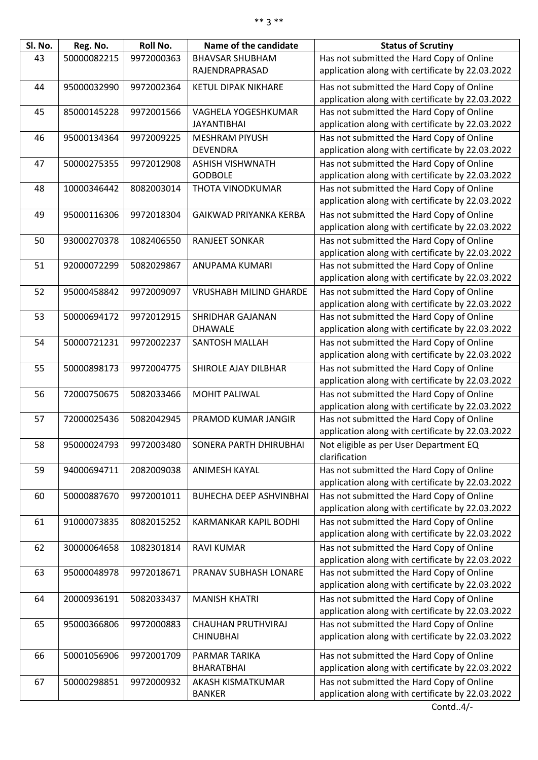| Sl. No. | Reg. No.    | Roll No.   | Name of the candidate          | <b>Status of Scrutiny</b>                                                                     |
|---------|-------------|------------|--------------------------------|-----------------------------------------------------------------------------------------------|
| 43      | 50000082215 | 9972000363 | <b>BHAVSAR SHUBHAM</b>         | Has not submitted the Hard Copy of Online                                                     |
|         |             |            | RAJENDRAPRASAD                 | application along with certificate by 22.03.2022                                              |
| 44      | 95000032990 | 9972002364 | <b>KETUL DIPAK NIKHARE</b>     | Has not submitted the Hard Copy of Online                                                     |
|         |             |            |                                | application along with certificate by 22.03.2022                                              |
| 45      | 85000145228 | 9972001566 | VAGHELA YOGESHKUMAR            | Has not submitted the Hard Copy of Online                                                     |
|         |             |            | <b>JAYANTIBHAI</b>             | application along with certificate by 22.03.2022                                              |
| 46      | 95000134364 | 9972009225 | <b>MESHRAM PIYUSH</b>          | Has not submitted the Hard Copy of Online                                                     |
|         |             |            | <b>DEVENDRA</b>                | application along with certificate by 22.03.2022                                              |
| 47      | 50000275355 | 9972012908 | <b>ASHISH VISHWNATH</b>        | Has not submitted the Hard Copy of Online                                                     |
|         |             |            | <b>GODBOLE</b>                 | application along with certificate by 22.03.2022                                              |
| 48      | 10000346442 | 8082003014 | THOTA VINODKUMAR               | Has not submitted the Hard Copy of Online                                                     |
|         |             |            |                                | application along with certificate by 22.03.2022                                              |
|         |             |            |                                |                                                                                               |
| 49      | 95000116306 | 9972018304 | GAIKWAD PRIYANKA KERBA         | Has not submitted the Hard Copy of Online                                                     |
|         |             |            |                                | application along with certificate by 22.03.2022                                              |
| 50      | 93000270378 | 1082406550 | <b>RANJEET SONKAR</b>          | Has not submitted the Hard Copy of Online                                                     |
|         |             |            |                                | application along with certificate by 22.03.2022                                              |
| 51      | 92000072299 | 5082029867 | ANUPAMA KUMARI                 | Has not submitted the Hard Copy of Online<br>application along with certificate by 22.03.2022 |
|         |             |            |                                |                                                                                               |
| 52      | 95000458842 | 9972009097 | <b>VRUSHABH MILIND GHARDE</b>  | Has not submitted the Hard Copy of Online                                                     |
|         |             |            |                                | application along with certificate by 22.03.2022                                              |
| 53      | 50000694172 | 9972012915 | <b>SHRIDHAR GAJANAN</b>        | Has not submitted the Hard Copy of Online                                                     |
|         |             |            | <b>DHAWALE</b>                 | application along with certificate by 22.03.2022                                              |
| 54      | 50000721231 | 9972002237 | SANTOSH MALLAH                 | Has not submitted the Hard Copy of Online                                                     |
|         |             |            |                                | application along with certificate by 22.03.2022                                              |
| 55      | 50000898173 | 9972004775 | SHIROLE AJAY DILBHAR           | Has not submitted the Hard Copy of Online                                                     |
|         |             |            |                                | application along with certificate by 22.03.2022                                              |
| 56      | 72000750675 | 5082033466 | <b>MOHIT PALIWAL</b>           | Has not submitted the Hard Copy of Online                                                     |
|         |             |            |                                | application along with certificate by 22.03.2022                                              |
| 57      | 72000025436 | 5082042945 | PRAMOD KUMAR JANGIR            | Has not submitted the Hard Copy of Online                                                     |
|         |             |            |                                | application along with certificate by 22.03.2022                                              |
| 58      | 95000024793 | 9972003480 | SONERA PARTH DHIRUBHAI         | Not eligible as per User Department EQ                                                        |
|         |             |            |                                | clarification                                                                                 |
| 59      | 94000694711 | 2082009038 | <b>ANIMESH KAYAL</b>           | Has not submitted the Hard Copy of Online                                                     |
|         |             |            |                                | application along with certificate by 22.03.2022                                              |
| 60      | 50000887670 | 9972001011 | <b>BUHECHA DEEP ASHVINBHAI</b> | Has not submitted the Hard Copy of Online                                                     |
|         |             |            |                                | application along with certificate by 22.03.2022                                              |
| 61      | 91000073835 | 8082015252 | KARMANKAR KAPIL BODHI          | Has not submitted the Hard Copy of Online                                                     |
|         |             |            |                                | application along with certificate by 22.03.2022                                              |
| 62      | 30000064658 | 1082301814 | <b>RAVI KUMAR</b>              | Has not submitted the Hard Copy of Online                                                     |
|         |             |            |                                | application along with certificate by 22.03.2022                                              |
| 63      | 95000048978 | 9972018671 | PRANAV SUBHASH LONARE          | Has not submitted the Hard Copy of Online                                                     |
|         |             |            |                                | application along with certificate by 22.03.2022                                              |
| 64      | 20000936191 | 5082033437 | <b>MANISH KHATRI</b>           | Has not submitted the Hard Copy of Online                                                     |
|         |             |            |                                | application along with certificate by 22.03.2022                                              |
| 65      | 95000366806 | 9972000883 | CHAUHAN PRUTHVIRAJ             | Has not submitted the Hard Copy of Online                                                     |
|         |             |            | <b>CHINUBHAI</b>               | application along with certificate by 22.03.2022                                              |
| 66      | 50001056906 | 9972001709 | PARMAR TARIKA                  | Has not submitted the Hard Copy of Online                                                     |
|         |             |            | <b>BHARATBHAI</b>              | application along with certificate by 22.03.2022                                              |
| 67      | 50000298851 | 9972000932 | AKASH KISMATKUMAR              | Has not submitted the Hard Copy of Online                                                     |
|         |             |            | <b>BANKER</b>                  | application along with certificate by 22.03.2022                                              |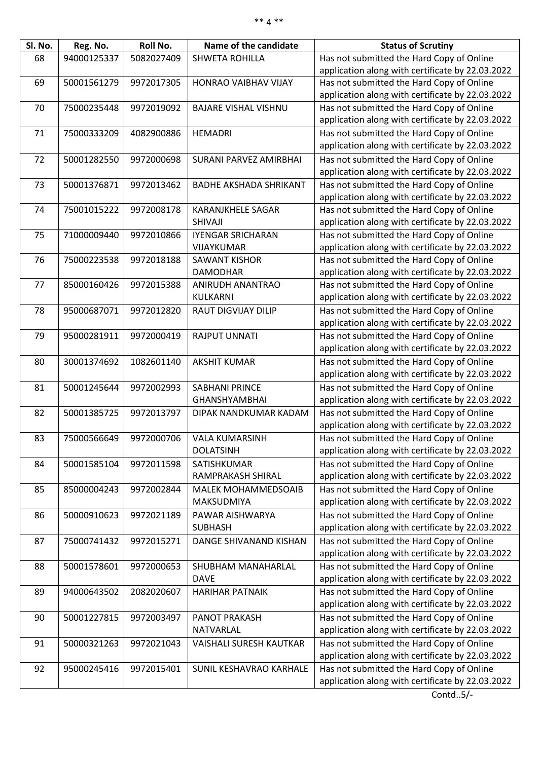| Sl. No. | Reg. No.    | Roll No.   | Name of the candidate             | <b>Status of Scrutiny</b>                        |
|---------|-------------|------------|-----------------------------------|--------------------------------------------------|
| 68      | 94000125337 | 5082027409 | <b>SHWETA ROHILLA</b>             | Has not submitted the Hard Copy of Online        |
|         |             |            |                                   | application along with certificate by 22.03.2022 |
| 69      | 50001561279 | 9972017305 | HONRAO VAIBHAV VIJAY              | Has not submitted the Hard Copy of Online        |
|         |             |            |                                   | application along with certificate by 22.03.2022 |
| 70      | 75000235448 | 9972019092 | <b>BAJARE VISHAL VISHNU</b>       | Has not submitted the Hard Copy of Online        |
|         |             |            |                                   | application along with certificate by 22.03.2022 |
| 71      | 75000333209 | 4082900886 | <b>HEMADRI</b>                    | Has not submitted the Hard Copy of Online        |
|         |             |            |                                   | application along with certificate by 22.03.2022 |
| 72      | 50001282550 | 9972000698 | SURANI PARVEZ AMIRBHAI            | Has not submitted the Hard Copy of Online        |
|         |             |            |                                   | application along with certificate by 22.03.2022 |
| 73      |             |            |                                   | Has not submitted the Hard Copy of Online        |
|         | 50001376871 | 9972013462 | <b>BADHE AKSHADA SHRIKANT</b>     |                                                  |
|         |             |            |                                   | application along with certificate by 22.03.2022 |
| 74      | 75001015222 | 9972008178 | <b>KARANJKHELE SAGAR</b>          | Has not submitted the Hard Copy of Online        |
|         |             |            | SHIVAJI                           | application along with certificate by 22.03.2022 |
| 75      | 71000009440 | 9972010866 | <b>IYENGAR SRICHARAN</b>          | Has not submitted the Hard Copy of Online        |
|         |             |            | VIJAYKUMAR                        | application along with certificate by 22.03.2022 |
| 76      | 75000223538 | 9972018188 | <b>SAWANT KISHOR</b>              | Has not submitted the Hard Copy of Online        |
|         |             |            | <b>DAMODHAR</b>                   | application along with certificate by 22.03.2022 |
| 77      | 85000160426 | 9972015388 | ANIRUDH ANANTRAO                  | Has not submitted the Hard Copy of Online        |
|         |             |            | KULKARNI                          | application along with certificate by 22.03.2022 |
| 78      | 95000687071 | 9972012820 | <b>RAUT DIGVIJAY DILIP</b>        | Has not submitted the Hard Copy of Online        |
|         |             |            |                                   | application along with certificate by 22.03.2022 |
| 79      | 95000281911 | 9972000419 | <b>RAJPUT UNNATI</b>              | Has not submitted the Hard Copy of Online        |
|         |             |            |                                   | application along with certificate by 22.03.2022 |
| 80      | 30001374692 | 1082601140 | <b>AKSHIT KUMAR</b>               | Has not submitted the Hard Copy of Online        |
|         |             |            |                                   | application along with certificate by 22.03.2022 |
| 81      | 50001245644 | 9972002993 | <b>SABHANI PRINCE</b>             | Has not submitted the Hard Copy of Online        |
|         |             |            | <b>GHANSHYAMBHAI</b>              | application along with certificate by 22.03.2022 |
| 82      | 50001385725 | 9972013797 | DIPAK NANDKUMAR KADAM             | Has not submitted the Hard Copy of Online        |
|         |             |            |                                   | application along with certificate by 22.03.2022 |
| 83      | 75000566649 | 9972000706 | <b>VALA KUMARSINH</b>             | Has not submitted the Hard Copy of Online        |
|         |             |            | <b>DOLATSINH</b>                  | application along with certificate by 22.03.2022 |
| 84      | 50001585104 | 9972011598 | SATISHKUMAR                       | Has not submitted the Hard Copy of Online        |
|         |             |            | RAMPRAKASH SHIRAL                 | application along with certificate by 22.03.2022 |
| 85      | 85000004243 | 9972002844 | <b>MALEK MOHAMMEDSOAIB</b>        | Has not submitted the Hard Copy of Online        |
|         |             |            | MAKSUDMIYA                        | application along with certificate by 22.03.2022 |
| 86      | 50000910623 | 9972021189 | PAWAR AISHWARYA                   | Has not submitted the Hard Copy of Online        |
|         |             |            | <b>SUBHASH</b>                    | application along with certificate by 22.03.2022 |
| 87      | 75000741432 | 9972015271 | DANGE SHIVANAND KISHAN            | Has not submitted the Hard Copy of Online        |
|         |             |            |                                   | application along with certificate by 22.03.2022 |
|         |             |            |                                   |                                                  |
| 88      | 50001578601 | 9972000653 | SHUBHAM MANAHARLAL<br><b>DAVE</b> | Has not submitted the Hard Copy of Online        |
|         |             |            |                                   | application along with certificate by 22.03.2022 |
| 89      | 94000643502 | 2082020607 | <b>HARIHAR PATNAIK</b>            | Has not submitted the Hard Copy of Online        |
|         |             |            |                                   | application along with certificate by 22.03.2022 |
| 90      | 50001227815 | 9972003497 | <b>PANOT PRAKASH</b>              | Has not submitted the Hard Copy of Online        |
|         |             |            | NATVARLAL                         | application along with certificate by 22.03.2022 |
| 91      | 50000321263 | 9972021043 | <b>VAISHALI SURESH KAUTKAR</b>    | Has not submitted the Hard Copy of Online        |
|         |             |            |                                   | application along with certificate by 22.03.2022 |
| 92      | 95000245416 | 9972015401 | SUNIL KESHAVRAO KARHALE           | Has not submitted the Hard Copy of Online        |
|         |             |            |                                   | application along with certificate by 22.03.2022 |

Contd..5/-